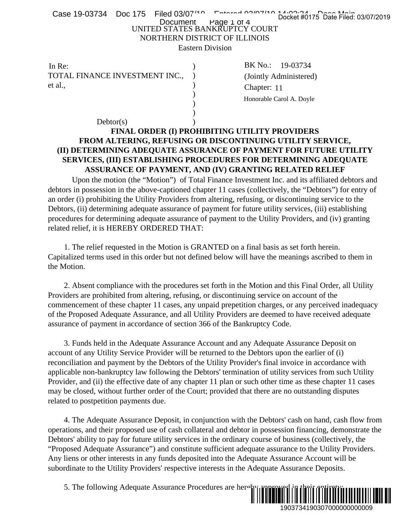| Case 19-03734 Doc 175 Filed 03/07"                                        | Docket #0175 Date Filed: 03/07/2019                                                                                                                                                                             |
|---------------------------------------------------------------------------|-----------------------------------------------------------------------------------------------------------------------------------------------------------------------------------------------------------------|
|                                                                           | Document Page 1 of 4<br>UNITED STATES BANKRUPTCY COURT                                                                                                                                                          |
|                                                                           | NORTHERN DISTRICT OF ILLINOIS                                                                                                                                                                                   |
|                                                                           | <b>Eastern Division</b>                                                                                                                                                                                         |
| In Re:                                                                    | BK No.: 19-03734                                                                                                                                                                                                |
| TOTAL FINANCE INVESTMENT INC.,                                            | (Jointly Administered)                                                                                                                                                                                          |
| et al.,                                                                   | Chapter: 11                                                                                                                                                                                                     |
|                                                                           | Honorable Carol A. Doyle                                                                                                                                                                                        |
|                                                                           |                                                                                                                                                                                                                 |
| Dektor(s)                                                                 |                                                                                                                                                                                                                 |
|                                                                           | FINAL ORDER (I) PROHIBITING UTILITY PROVIDERS                                                                                                                                                                   |
|                                                                           | FROM ALTERING, REFUSING OR DISCONTINUING UTILITY SERVICE,                                                                                                                                                       |
|                                                                           | (II) DETERMINING ADEQUATE ASSURANCE OF PAYMENT FOR FUTURE UTILITY                                                                                                                                               |
|                                                                           | SERVICES, (III) ESTABLISHING PROCEDURES FOR DETERMINING ADEQUATE                                                                                                                                                |
|                                                                           | ASSURANCE OF PAYMENT, AND (IV) GRANTING RELATED RELIEF                                                                                                                                                          |
|                                                                           | Upon the motion (the "Motion") of Total Finance Investment Inc. and its affiliated debtors and                                                                                                                  |
|                                                                           | debtors in possession in the above-captioned chapter 11 cases (collectively, the "Debtors") for entry of                                                                                                        |
|                                                                           | an order (i) prohibiting the Utility Providers from altering, refusing, or discontinuing service to the                                                                                                         |
|                                                                           | Debtors, (ii) determining adequate assurance of payment for future utility services, (iii) establishing<br>procedures for determining adequate assurance of payment to the Utility Providers, and (iv) granting |
| related relief, it is HEREBY ORDERED THAT:                                |                                                                                                                                                                                                                 |
|                                                                           |                                                                                                                                                                                                                 |
|                                                                           | 1. The relief requested in the Motion is GRANTED on a final basis as set forth herein.                                                                                                                          |
|                                                                           | Capitalized terms used in this order but not defined below will have the meanings ascribed to them in                                                                                                           |
| the Motion.                                                               |                                                                                                                                                                                                                 |
|                                                                           | 2. Absent compliance with the procedures set forth in the Motion and this Final Order, all Utility                                                                                                              |
|                                                                           | Providers are prohibited from altering, refusing, or discontinuing service on account of the                                                                                                                    |
|                                                                           | commencement of these chapter 11 cases, any unpaid prepetition charges, or any perceived inadequacy                                                                                                             |
|                                                                           | of the Proposed Adequate Assurance, and all Utility Providers are deemed to have received adequate                                                                                                              |
| assurance of payment in accordance of section 366 of the Bankruptcy Code. |                                                                                                                                                                                                                 |
|                                                                           |                                                                                                                                                                                                                 |
|                                                                           | 3. Funds held in the Adequate Assurance Account and any Adequate Assurance Deposit on                                                                                                                           |
|                                                                           | account of any Utility Service Provider will be returned to the Debtors upon the earlier of (i)<br>reconciliation and payment by the Debtors of the Utility Provider's final invoice in accordance with         |
|                                                                           | applicable non-bankruptcy law following the Debtors' termination of utility services from such Utility                                                                                                          |
|                                                                           | Provider, and (ii) the effective date of any chapter 11 plan or such other time as these chapter 11 cases                                                                                                       |
|                                                                           | may be closed, without further order of the Court; provided that there are no outstanding disputes                                                                                                              |
| related to postpetition payments due.                                     |                                                                                                                                                                                                                 |
|                                                                           |                                                                                                                                                                                                                 |
|                                                                           | 4. The Adequate Assurance Deposit, in conjunction with the Debtors' cash on hand, cash flow from                                                                                                                |
|                                                                           | operations, and their proposed use of cash collateral and debtor in possession financing, demonstrate the                                                                                                       |
|                                                                           | Debtors' ability to pay for future utility services in the ordinary course of business (collectively, the                                                                                                       |
|                                                                           | "Proposed Adequate Assurance") and constitute sufficient adequate assurance to the Utility Providers.<br>Any liens or other interests in any funds deposited into the Adequate Assurance Account will be        |
|                                                                           | subordinate to the Utility Providers' respective interests in the Adequate Assurance Deposits.                                                                                                                  |
|                                                                           |                                                                                                                                                                                                                 |
| 5. The following Adequate Assurance Procedures are hereby approved        |                                                                                                                                                                                                                 |
|                                                                           |                                                                                                                                                                                                                 |
|                                                                           | 1903734190307000000000000                                                                                                                                                                                       |

## **FINAL ORDER (I) PROHIBITING UTILITY PROVIDERS FROM ALTERING, REFUSING OR DISCONTINUING UTILITY SERVICE, (II) DETERMINING ADEQUATE ASSURANCE OF PAYMENT FOR FUTURE UTILITY SERVICES, (III) ESTABLISHING PROCEDURES FOR DETERMINING ADEQUATE ASSURANCE OF PAYMENT, AND (IV) GRANTING RELATED RELIEF**

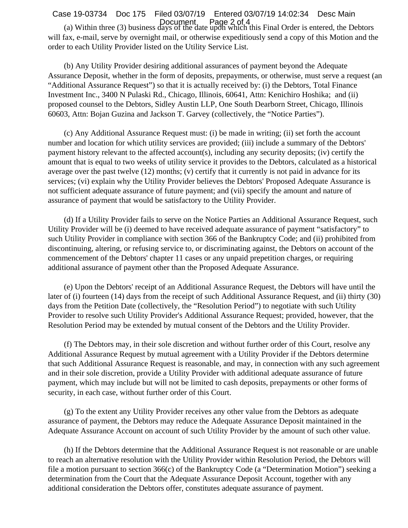(a) Within three (3) business days of the date upon which this Final Order is entered, the Debtors will fax, e-mail, serve by overnight mail, or otherwise expeditiously send a copy of this Motion and the order to each Utility Provider listed on the Utility Service List. Case 19-03734 Doc 175 Filed 03/07/19 Entered 03/07/19 14:02:34 Desc Main Document Page 2 of 4

 (b) Any Utility Provider desiring additional assurances of payment beyond the Adequate Assurance Deposit, whether in the form of deposits, prepayments, or otherwise, must serve a request (an "Additional Assurance Request") so that it is actually received by: (i) the Debtors, Total Finance Investment Inc., 3400 N Pulaski Rd., Chicago, Illinois, 60641, Attn: Kenichiro Hoshika; and (ii) proposed counsel to the Debtors, Sidley Austin LLP, One South Dearborn Street, Chicago, Illinois 60603, Attn: Bojan Guzina and Jackson T. Garvey (collectively, the "Notice Parties").

 (c) Any Additional Assurance Request must: (i) be made in writing; (ii) set forth the account number and location for which utility services are provided; (iii) include a summary of the Debtors' payment history relevant to the affected account(s), including any security deposits; (iv) certify the amount that is equal to two weeks of utility service it provides to the Debtors, calculated as a historical average over the past twelve (12) months; (v) certify that it currently is not paid in advance for its services; (vi) explain why the Utility Provider believes the Debtors' Proposed Adequate Assurance is not sufficient adequate assurance of future payment; and (vii) specify the amount and nature of assurance of payment that would be satisfactory to the Utility Provider.

 (d) If a Utility Provider fails to serve on the Notice Parties an Additional Assurance Request, such Utility Provider will be (i) deemed to have received adequate assurance of payment "satisfactory" to such Utility Provider in compliance with section 366 of the Bankruptcy Code; and (ii) prohibited from discontinuing, altering, or refusing service to, or discriminating against, the Debtors on account of the commencement of the Debtors' chapter 11 cases or any unpaid prepetition charges, or requiring additional assurance of payment other than the Proposed Adequate Assurance.

 (e) Upon the Debtors' receipt of an Additional Assurance Request, the Debtors will have until the later of (i) fourteen (14) days from the receipt of such Additional Assurance Request, and (ii) thirty (30) days from the Petition Date (collectively, the "Resolution Period") to negotiate with such Utility Provider to resolve such Utility Provider's Additional Assurance Request; provided, however, that the Resolution Period may be extended by mutual consent of the Debtors and the Utility Provider.

 (f) The Debtors may, in their sole discretion and without further order of this Court, resolve any Additional Assurance Request by mutual agreement with a Utility Provider if the Debtors determine that such Additional Assurance Request is reasonable, and may, in connection with any such agreement and in their sole discretion, provide a Utility Provider with additional adequate assurance of future payment, which may include but will not be limited to cash deposits, prepayments or other forms of security, in each case, without further order of this Court.

 (g) To the extent any Utility Provider receives any other value from the Debtors as adequate assurance of payment, the Debtors may reduce the Adequate Assurance Deposit maintained in the Adequate Assurance Account on account of such Utility Provider by the amount of such other value.

 (h) If the Debtors determine that the Additional Assurance Request is not reasonable or are unable to reach an alternative resolution with the Utility Provider within Resolution Period, the Debtors will file a motion pursuant to section 366(c) of the Bankruptcy Code (a "Determination Motion") seeking a determination from the Court that the Adequate Assurance Deposit Account, together with any additional consideration the Debtors offer, constitutes adequate assurance of payment.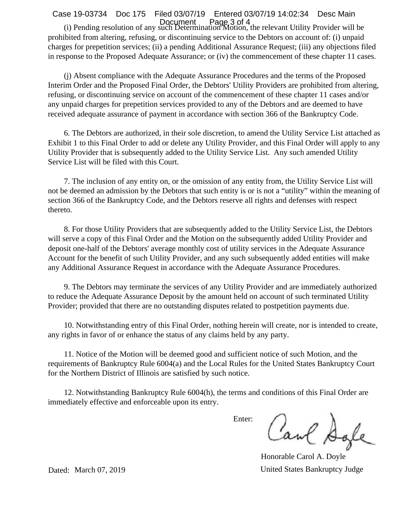## Case 19-03734 Doc 175 Filed 03/07/19 Entered 03/07/19 14:02:34 Desc Main

 (i) Pending resolution of any such Determination Motion, the relevant Utility Provider will be prohibited from altering, refusing, or discontinuing service to the Debtors on account of: (i) unpaid charges for prepetition services; (ii) a pending Additional Assurance Request; (iii) any objections filed in response to the Proposed Adequate Assurance; or (iv) the commencement of these chapter 11 cases. Document Page 3 of 4

 (j) Absent compliance with the Adequate Assurance Procedures and the terms of the Proposed Interim Order and the Proposed Final Order, the Debtors' Utility Providers are prohibited from altering, refusing, or discontinuing service on account of the commencement of these chapter 11 cases and/or any unpaid charges for prepetition services provided to any of the Debtors and are deemed to have received adequate assurance of payment in accordance with section 366 of the Bankruptcy Code.

 6. The Debtors are authorized, in their sole discretion, to amend the Utility Service List attached as Exhibit 1 to this Final Order to add or delete any Utility Provider, and this Final Order will apply to any Utility Provider that is subsequently added to the Utility Service List. Any such amended Utility Service List will be filed with this Court.

 7. The inclusion of any entity on, or the omission of any entity from, the Utility Service List will not be deemed an admission by the Debtors that such entity is or is not a "utility" within the meaning of section 366 of the Bankruptcy Code, and the Debtors reserve all rights and defenses with respect thereto.

 8. For those Utility Providers that are subsequently added to the Utility Service List, the Debtors will serve a copy of this Final Order and the Motion on the subsequently added Utility Provider and deposit one-half of the Debtors' average monthly cost of utility services in the Adequate Assurance Account for the benefit of such Utility Provider, and any such subsequently added entities will make any Additional Assurance Request in accordance with the Adequate Assurance Procedures.

 9. The Debtors may terminate the services of any Utility Provider and are immediately authorized to reduce the Adequate Assurance Deposit by the amount held on account of such terminated Utility Provider; provided that there are no outstanding disputes related to postpetition payments due.

 10. Notwithstanding entry of this Final Order, nothing herein will create, nor is intended to create, any rights in favor of or enhance the status of any claims held by any party.

 11. Notice of the Motion will be deemed good and sufficient notice of such Motion, and the requirements of Bankruptcy Rule 6004(a) and the Local Rules for the United States Bankruptcy Court for the Northern District of Illinois are satisfied by such notice.

 12. Notwithstanding Bankruptcy Rule 6004(h), the terms and conditions of this Final Order are immediately effective and enforceable upon its entry.

Enter:

Caul Sale

Honorable Carol A. Doyle Dated: March 07, 2019 United States Bankruptcy Judge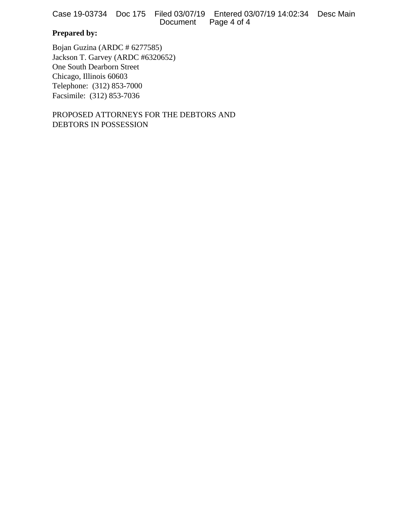Case 19-03734 Doc 175 Filed 03/07/19 Entered 03/07/19 14:02:34 Desc Main Page 4 of 4

# **Prepared by:**

Bojan Guzina (ARDC # 6277585) Jackson T. Garvey (ARDC #6320652) One South Dearborn Street Chicago, Illinois 60603 Telephone: (312) 853-7000 Facsimile: (312) 853-7036

PROPOSED ATTORNEYS FOR THE DEBTORS AND DEBTORS IN POSSESSION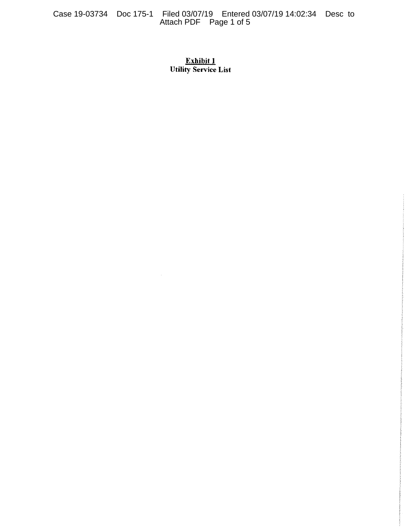Case 19-03734 Doc 175-1 Filed 03/07/19 Entered 03/07/19 14:02:34 Desc to Attach PDF Page 1 of 5

# Exhibit 1 **Utility Service List**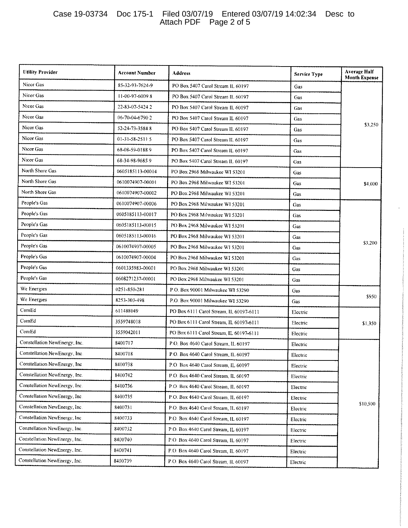#### Case 19-03734 Doc 175-1 Filed 03/07/19 Entered 03/07/19 14:02:34 Desc to Attach PDF Page 2 of 5

| <b>Utility Provider</b>       | Account Number   | <b>Address</b>                          | <b>Service Type</b> | <b>Average Half</b><br><b>Month Expense</b> |
|-------------------------------|------------------|-----------------------------------------|---------------------|---------------------------------------------|
| Nicor Gas                     | 85-32-93-7624-9  | PO Box 5407 Carol Stream IL 60197       | Gas                 | \$3,250                                     |
| Nicor Gas                     | 11-00-97-60098   | PO Box 5407 Carol Stream IL 60197       | Gas                 |                                             |
| Nicor Gas                     | 22-83-07-5424 2  | PO Box 5407 Carol Stream IL 60197       | Gas                 |                                             |
| Nicor Gas                     | 06-70-04-6790 2  | PO Box 5407 Carol Stream IL 60197       | <b>Gas</b>          |                                             |
| Nicor Gas                     | 52-24-73-3584 8  | PO Box 5407 Carol Stream IL 60197       | Gas                 |                                             |
| Nicor Gas                     | 01-31-58-2511 5  | PO Box 5407 Carol Stream IL 60197       | Gas                 |                                             |
| Nicor Gas                     | 68-08-59-01889   | PO Box 5407 Carol Stream IL 60197       | Gas                 |                                             |
| Nicor Gas                     | 68-34-98-96859   | PO Box 5407 Carol Stream IL 60197       | Cas                 |                                             |
| North Shore Gas               | 0605185113-00014 | PO Box 2968 Milwaukee WI 53201          | Gas                 |                                             |
| North Shore Gas               | 0610074907-00001 | PO Box 2968 Milwaukee WI 53201          | Cas                 | \$4,000                                     |
| North Shore Gas               | 0610074907-00002 | PO Box 2968 Milwaukee WI 53201          | Gas                 |                                             |
| People's Gas                  | 0610074907-00006 | PO Box 2968 Milwaukee WI 53201          | Cas                 |                                             |
| People's Gas                  | 0605185113-00017 | PO Box 2968 Milwaukee WI 53201          | Gas                 |                                             |
| People's Gas                  | 0605185113-00015 | PO Box 2968 Milwaukee WI 53201          | Gas                 |                                             |
| People's Gas                  | 0605185113-00016 | PO Box 2968 Milwaukee WI 53201          | Gas                 |                                             |
| People's Gas                  | 0610074907-00005 | PO Box 2968 Milwaukee WI 53201          | Gas                 | \$3,200                                     |
| People's Gas                  | 0610074907-00004 | PO Box 2968 Milwaukee WI 53201          | Gas                 |                                             |
| People's Gas                  | 0601335983-00001 | PO Box 2968 Milwaukee WJ 53201          | Cas                 |                                             |
| People's Gas                  | 0608271237-00001 | PO Box 2968 Milwaukee WI 53201          | Gas                 |                                             |
| We Energies                   | 0251-850-281     | P.O. Box 90001 Milwaukee WI 53290       | Gas                 |                                             |
| We Energies                   | 8253-303-498     | P.O. Box 90001 Milwaukee WI 53290       | Gas                 | 3950                                        |
| ComEd                         | 611488049        | PO Box 6111 Carol Stream, IL 60197-6111 | Electric            |                                             |
| ComEd                         | 3559748018       | PO Box 6111 Carol Stream, IL 60197-6111 | Electric            | \$1,350                                     |
| ComEd                         | 3559042011       | PO Box 6111 Carol Stream, IL 60197-6111 | Electric            |                                             |
| Constellation NewEnergy, Inc. | 8400717          | P.O. Box 4640 Carol Stream, IL 60197    | Electric            |                                             |
| Constellation NewEnergy, Inc. | 8400718          | P.O. Box 4640 Carol Stream, IL 60197    | Electric            |                                             |
| Constellation NewEnergy, Inc. | 8400738          | P.O. Box 4640 Carol Stream, IL 60197    | Electric            |                                             |
| Constellation NewEnergy, Inc. | 8400742          | P.O. Box 4640 Carol Stream, IL 60197    | Electric            |                                             |
| Constellation NewEnergy, Inc. | 8400736          | P.O. Box 4640 Carol Stream, IL 60197    | Electric            | \$10,500                                    |
| Constellation NewEnergy, Inc. | 8400735          | P.O. Box 4640 Carol Stream, IL 60197    | Electric            |                                             |
| Constellation NewEnergy, Inc. | 8400731          | P.O. Box 4640 Carol Stream, IL 60197    | Electric            |                                             |
| Constellation NewEnergy, Inc. | 8400733          | P.O. Box 4640 Carol Stream, IL 60197    | Electric            |                                             |
| Constellation NewEnergy, Inc. | 8400732          | P.O. Box 4640 Carol Stream, IL 60197    | Electric            |                                             |
| Constellation NewEnergy, Inc. | 8400740          | P.O. Box 4640 Carol Stream, IL 60197    | Electric            |                                             |
| Constellation NewEnergy, Inc. | 8400741          | P.O. Box 4640 Carol Stream, IL 60197    | Electric            |                                             |
| Constellation NewEnergy, Inc. | 8400739          | P.O. Box 4640 Carol Stream, IL 60197    | Electric            |                                             |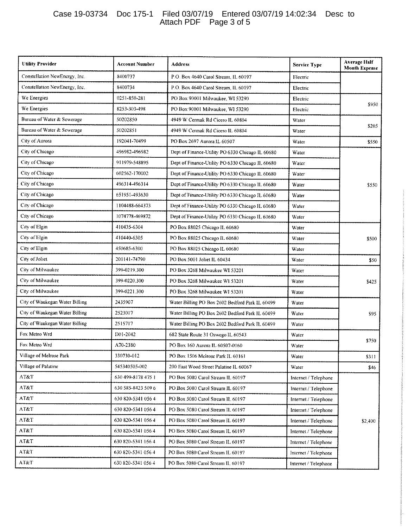### Case 19-03734 Doc 175-1 Filed 03/07/19 Entered 03/07/19 14:02:34 Desc to Attach PDF Page 3 of 5

| <b>Utility Provider</b>        | Account Number     | <b>Address</b>                                   | <b>Service Type</b>  | <b>Average Half</b><br><b>Month Expense</b> |
|--------------------------------|--------------------|--------------------------------------------------|----------------------|---------------------------------------------|
| Constellation NewEnergy, Inc.  | 8400737            | P.O. Box 4640 Carol Stream, IL 60197             | Electric             |                                             |
| Constellation NewEnergy, Inc.  | 8400734            | P.O. Box 4640 Carol Stream, IL 60197             | Electric             |                                             |
| We Energies                    | 0251-850-281       | PO Box 90001 Milwaukee, WI 53290                 | Electric             | \$950                                       |
| We Energies                    | 8253-303-498       | PO Box 90001 Milwaukee, WI 53290                 | Electric             |                                             |
| Bureau of Water & Sewerage     | 50202850           | 4949 W Cermak Rd Cicero IL 60804                 | <b>Water</b>         |                                             |
| Bureau of Water & Sewerage     | 50202851           | 4949 W Cermak Rd Cicero IL 60804                 | Water                | \$205                                       |
| City of Aurora                 | 192041-70499       | PO Box 2697 Aurora IL 60507                      | Water                | \$550                                       |
| City of Chicago                | 496982-496982      | Dept of Finance-Utility PO 6330 Chicago IL 60680 | Water                |                                             |
| City of Chicago                | 911979-548895      | Dept of Finance-Utility PO 6330 Chicago IL 60680 | Water                |                                             |
| City of Chicago                | 602562-170002      | Dept of Finance-Utility PO 6330 Chicago IL 60680 | Water                |                                             |
| City of Chicago                | 496314-496314      | Dept of Finance-Utility PO 6330 Chicago IL 60680 | Water                | \$550                                       |
| City of Chicago                | 651951-493630      | Dept of Finance-Utility PO 6330 Chicago IL 60680 | Water                |                                             |
| City of Chicago                | 1104488-664373     | Dept of Finance-Utility PO 6330 Chicago IL 60680 | Water                |                                             |
| City of Chicago                | 1074778-469872     | Dept of Finance-Utility PO 6330 Chicago IL 60680 | Water                |                                             |
| City of Elgin                  | 410435-6304        | PO Box 88025 Chicago IL 60680                    | <b>Water</b>         | \$500                                       |
| City of Elgin                  | 410440-6305        | PO Box 88025 Chicago IL 60680                    | Water                |                                             |
| City of Elgin                  | 450685-6300        | PO Box 88025 Chicago II. 60680                   | Water                |                                             |
| City of Joliet                 | 201141-74790       | PO Box 5001 Joliet IL 60434                      | Water                | \$50                                        |
| City of Milwaukee              | 399-0219.300       | PO Box 3268 Milwaukee WI 53201                   | Water                |                                             |
| City of Milwaukee              | 399-0220.300       | PO Box 3268 Milwaukee WI 53201                   | Water                | \$425                                       |
| City of Milwaukee              | 399-0221.300       | PO Box 3268 Milwaukee WI 53201                   | Water                |                                             |
| City of Waukegan Water Billing | 2435907            | Water Billing PO Box 2602 Bedford Park IL 60499  | W ater               |                                             |
| City of Waukegan Water Billing | 2523017            | Water Billing PO Box 2602 Bedford Park IL 60499  | Water                | \$95                                        |
| City of Waukegan Water Billing | 2515717            | Water Billing PO Box 2602 Bedford Park IL 60499  | Water                |                                             |
| Fox Metro Wrd                  | D01-2042           | 682 State Route 31 Oswego IL 60543               | Water                | \$750                                       |
| Fox Metro Wrd                  | A70-2380           | PO Box 160 Aurora IL 60507-0160                  | Water                |                                             |
| Village of Melrose Park        | 330730-012         | PO Box 1506 Melrose Park IL 60161                | Water                | \$311                                       |
| Village of Palatine            | 545340505-002      | 200 East Wood Street Palatine IL 60067           | Water                | \$46                                        |
| AT&T                           | 630 499-8178 475 1 | PO Box 5080 Carol Stream IL 60197                | Internet / Telephone | \$2,400                                     |
| AT&T                           | 630 585-8423 509 6 | PO Box 5080 Carol Stream IL 60197                | Internet / Telephone |                                             |
| AT&T                           | 630 820-5341 056 4 | PO Box 5080 Carol Stream IL 60197                | Internet / Telephone |                                             |
| AT&T                           | 630 820-5341 056 4 | PO Box 5080 Carol Stream IL 60197                | Internet / Telephone |                                             |
| AT&T                           | 630 820-5341 056 4 | PO Box 5080 Carol Stream IL 60197                | Internet / Telephone |                                             |
| AT&T                           | 630 820-5341 056 4 | PO Box 5080 Carol Stream IL 60197                | Internet / Telephone |                                             |
| AT&T                           | 630 820-5341 056 4 | PO Box 5080 Carol Stream IL 60197                | Internet / Telephone |                                             |
| AT&T                           | 630 820-5341 056 4 | PO Box 5080 Carol Stream IL 60197                | Internet / Telephone |                                             |
| AT&T                           | 630 820-5341 056 4 | PO Box 5080 Carol Stream IL 60197                | Internet / Telephone |                                             |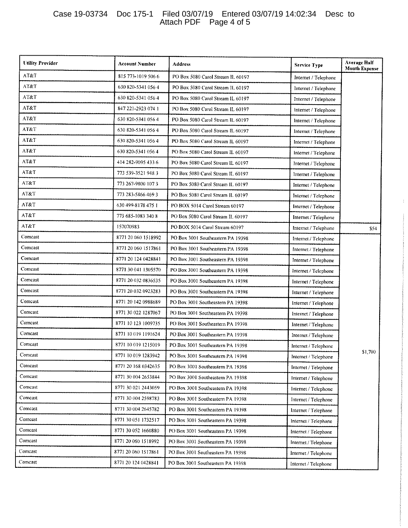### Case 19-03734 Doc 175-1 Filed 03/07/19 Entered 03/07/19 14:02:34 Desc to Attach PDF Page 4 of 5

| <b>Utility Provider</b> | Account Number       | <b>Address</b>                    | <b>Service Type</b>  | <b>Average Half</b><br><b>Month Expense</b> |
|-------------------------|----------------------|-----------------------------------|----------------------|---------------------------------------------|
| AT&T                    | 815 773-1019 506 6   | PO Box 5080 Carol Stream IL 60197 | Internet / Telephone |                                             |
| AT&T                    | 630 820-5341 056 4   | PO Box 5080 Carol Stream IL 60197 | Internet / Telephone |                                             |
| AT&T                    | 630 820-5341 056 4   | PO Box 5080 Carol Stream IL 60197 | Internet / Telephone |                                             |
| AT&T                    | 847 221 - 2923 074 1 | PO Box 5080 Carol Stream IL 60197 | Internet / Telephone |                                             |
| AT&T                    | 630 820-5341 056 4   | PO Box 5080 Carol Stream IL 60197 | Internet / Telephone |                                             |
| AT&T                    | 630 820-5341 056 4   | PO Box 5080 Carol Stream IL 60197 | Internet / Telephone |                                             |
| AT&T                    | 630 820-5341 056 4   | PO Box 5080 Carol Stream IL 60197 | Internet / Telephone |                                             |
| AT&T                    | 630 820-5341 056 4   | PO Box 5080 Carol Stream IL 60197 | Internet / Telephone |                                             |
| AT&T                    | 414 282-9095 433 6   | PO Box 5080 Carol Stream IL 60197 | Internet / Telephone |                                             |
| AT&T                    | 773 539-3521 948 3   | PO Box 5080 Carol Stream IL 60197 | Internet / Telephone |                                             |
| AT&T                    | 773 267-9800 107 3   | PO Box 5080 Carol Stream IL 60197 | Internet / Telephone |                                             |
| AT&T                    | 773 283-5866 469 3   | PO Box 5080 Carol Stream IL 60197 | Internet / Telephone |                                             |
| AT&T                    | 630 499-8178 475 1   | PO BOX 5014 Carol Stream 60197    | Internet / Telephone |                                             |
| AT&T                    | 773 685-1083 340 8   | PO Box 5080 Carol Stream IL 60197 | Internet / Telephone |                                             |
| AT&T                    | 157070983            | PO BOX 5014 Carol Stream 60197    | Internet / Telephone | \$54                                        |
| Comcast                 | 8771 20 060 1518992  | PO Box 3001 Southeastern PA 19398 | Internet / Telephone |                                             |
| Comcast                 | 8771 20 060 1517861  | PO Box 3001 Southeastern PA 19398 | Internet / Telephone |                                             |
| Comcast                 | 8771 20 124 0428841  | PO Box 3001 Southeastern PA 19398 | Internet / Telephone |                                             |
| Comcast                 | 8771 30 041 1305570  | PO Box 3001 Southeastern PA 19398 | Internet / Telephone |                                             |
| Comcast                 | 8771 20 032 0836535  | PO Box 3001 Southeastern PA 19398 | Internet / Telephone |                                             |
| Comcast                 | 8771 20 032 0923283  | PO Box 3001 Southeastern PA 19398 | Internet / Telephone |                                             |
| Comcast                 | 8771 20 142 0988689  | PO Box 3001 Southeastern PA 19398 | Internet / Telephone |                                             |
| Comcast                 | 8771 30 022 1287067  | PO Box 3001 Southeastern PA 19398 | Internet / Telephone |                                             |
| Comcast                 | 8771 10 123 1009735  | PO Box 3001 Southeastern PA 19398 | Internet / Telephone |                                             |
| Comcast                 | 8771 10 019 1191624  | PO Box 3001 Southeastern PA 19398 | Internet / Telephone |                                             |
| Comcast                 | 8771 10 019 1215019  | PO Box 3001 Southeastern PA 19398 | Internet / Telephone |                                             |
| Comcast                 | 8771 10 019 1283942  | PO Box 3001 Southeastern PA 19398 | Internet / Telephone | \$1,700                                     |
| Comcast                 | 8771 20 168 0342635  | PO Box 3001 Southeastern PA 19398 | Internet / Telephone |                                             |
| Comcast                 | 8771 30 004 2653844  | PO Box 3001 Southeastern PA 19398 | Internet / Telephone |                                             |
| Comcast                 | 8771 30 021 2443059  | PO Box 3001 Southeastern PA 19398 | Internet / Telephone |                                             |
| Comcast                 | 8771 30 004 2598783  | PO Box 3001 Southeastern PA 19398 | Internet / Telephone |                                             |
| Comcast                 | 8771 30 004 2645782  | PO Box 3001 Southeastern PA 19398 | Internet / Telephone |                                             |
| Comcast                 | 8771 30 051 1732517  | PO Box 3001 Southeastern PA 19398 | Internet / Telephone |                                             |
| Comcast                 | 8771 30 052 1660880  | PO Box 3001 Southeastern PA 19398 | Internet / Telephone |                                             |
| Comcast                 | 8771 20 060 1518992  | PO Box 3001 Southeastern PA 19398 | Internet / Telephone |                                             |
| Comcast                 | 8771 20 060 1517861  | PO Box 3001 Southeastern PA 19398 | Internet / Telephone |                                             |
| Comcast                 | 8771 20 124 0428841  | PO Box 3001 Southeastern PA 19398 | Internet / Telephone |                                             |